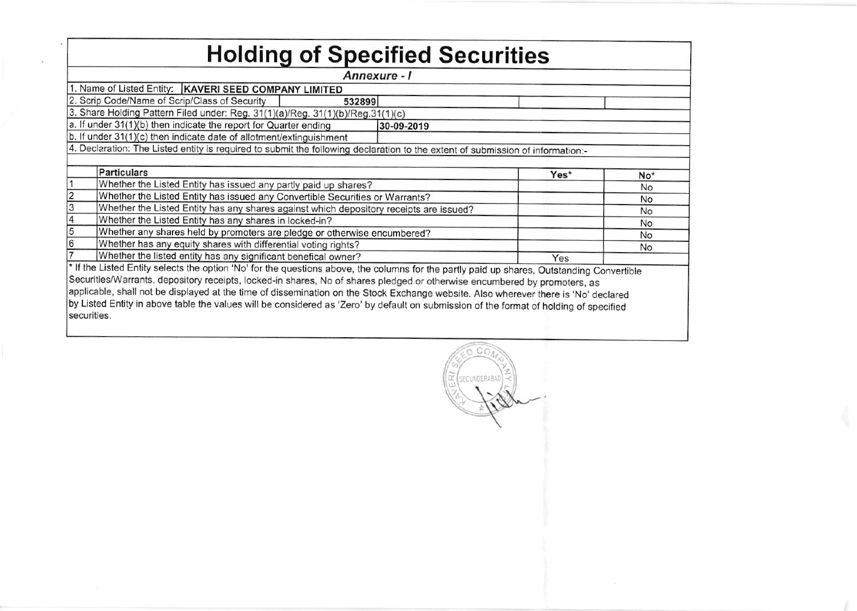| <b>Holding of Specified Securities</b>                                                                                                 |                                                                                                                                            |  |      |           |  |  |  |  |  |  |  |  |  |  |
|----------------------------------------------------------------------------------------------------------------------------------------|--------------------------------------------------------------------------------------------------------------------------------------------|--|------|-----------|--|--|--|--|--|--|--|--|--|--|
|                                                                                                                                        | Annexure - I                                                                                                                               |  |      |           |  |  |  |  |  |  |  |  |  |  |
| 1. Name of Listed Entity:   KAVERI SEED COMPANY LIMITED                                                                                |                                                                                                                                            |  |      |           |  |  |  |  |  |  |  |  |  |  |
| 2. Scrip Code/Name of Scrip/Class of Security<br>532899                                                                                |                                                                                                                                            |  |      |           |  |  |  |  |  |  |  |  |  |  |
| 3. Share Holding Pattern Filed under: Reg. 31(1)(a)/Reg. 31(1)(b)/Reg.31(1)(c)                                                         |                                                                                                                                            |  |      |           |  |  |  |  |  |  |  |  |  |  |
| a. If under 31(1)(b) then indicate the report for Quarter ending<br>30-09-2019                                                         |                                                                                                                                            |  |      |           |  |  |  |  |  |  |  |  |  |  |
|                                                                                                                                        | b. If under 31(1)(c) then indicate date of allotment/extinguishment                                                                        |  |      |           |  |  |  |  |  |  |  |  |  |  |
|                                                                                                                                        | 4. Declaration: The Listed entity is required to submit the following declaration to the extent of submission of information:-             |  |      |           |  |  |  |  |  |  |  |  |  |  |
|                                                                                                                                        |                                                                                                                                            |  |      |           |  |  |  |  |  |  |  |  |  |  |
|                                                                                                                                        | <b>Particulars</b>                                                                                                                         |  | Yes* | No*       |  |  |  |  |  |  |  |  |  |  |
|                                                                                                                                        | Whether the Listed Entity has issued any partly paid up shares?                                                                            |  |      | <b>No</b> |  |  |  |  |  |  |  |  |  |  |
| $\frac{2}{3}$                                                                                                                          | Whether the Listed Entity has issued any Convertible Securities or Warrants?                                                               |  |      | No        |  |  |  |  |  |  |  |  |  |  |
|                                                                                                                                        | Whether the Listed Entity has any shares against which depository receipts are issued?                                                     |  |      | No        |  |  |  |  |  |  |  |  |  |  |
| $\frac{4}{5}$                                                                                                                          | Whether the Listed Entity has any shares in locked-in?                                                                                     |  |      | No        |  |  |  |  |  |  |  |  |  |  |
|                                                                                                                                        | Whether any shares held by promoters are pledge or otherwise encumbered?<br>No                                                             |  |      |           |  |  |  |  |  |  |  |  |  |  |
| 6                                                                                                                                      | Whether has any equity shares with differential voting rights?                                                                             |  |      | No        |  |  |  |  |  |  |  |  |  |  |
|                                                                                                                                        | Whether the listed entity has any significant benefical owner?<br>Yes                                                                      |  |      |           |  |  |  |  |  |  |  |  |  |  |
|                                                                                                                                        | * If the Listed Entity selects the option 'No' for the questions above, the columns for the partly paid up shares, Outstanding Convertible |  |      |           |  |  |  |  |  |  |  |  |  |  |
|                                                                                                                                        | Securities/Warrants, depository receipts, locked-in shares, No of shares pledged or otherwise encumbered by promoters, as                  |  |      |           |  |  |  |  |  |  |  |  |  |  |
| applicable, shall not be displayed at the time of dissemination on the Stock Exchange website. Also wherever there is 'No' declared    |                                                                                                                                            |  |      |           |  |  |  |  |  |  |  |  |  |  |
| by Listed Entity in above table the values will be considered as 'Zero' by default on submission of the format of holding of specified |                                                                                                                                            |  |      |           |  |  |  |  |  |  |  |  |  |  |
| securities.                                                                                                                            |                                                                                                                                            |  |      |           |  |  |  |  |  |  |  |  |  |  |
|                                                                                                                                        |                                                                                                                                            |  |      |           |  |  |  |  |  |  |  |  |  |  |

 $-000$ (SECUNDERABAD)  $\alpha$  $111$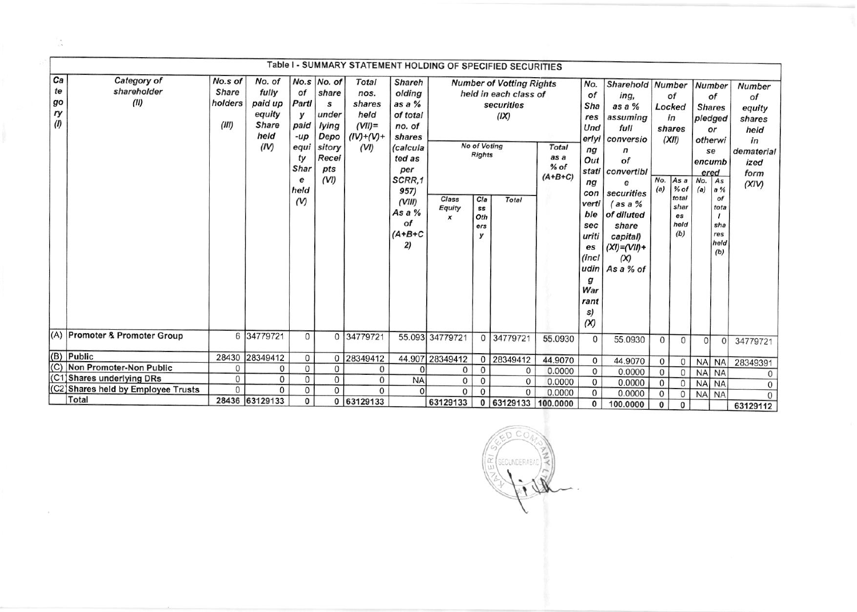|                  | Table I - SUMMARY STATEMENT HOLDING OF SPECIFIED SECURITIES                                                                                                  |              |                |                |                 |              |           |                  |                       |                   |              |               |                  |             |                |            |               |               |
|------------------|--------------------------------------------------------------------------------------------------------------------------------------------------------------|--------------|----------------|----------------|-----------------|--------------|-----------|------------------|-----------------------|-------------------|--------------|---------------|------------------|-------------|----------------|------------|---------------|---------------|
| Ca               | Category of<br>No.s of<br>No. of<br>$No.s$ $No. of$<br>Total<br><b>Shareh</b><br><b>Number of Votting Rights</b><br>Sharehold Number<br>No.<br><b>Number</b> |              |                |                |                 |              |           |                  |                       |                   |              |               |                  |             |                |            |               |               |
| te               | shareholder                                                                                                                                                  | <b>Share</b> | fully          | of             | share           | nos.         | olding    |                  |                       |                   |              | of            |                  |             |                |            |               | <b>Number</b> |
| go               | (II)                                                                                                                                                         | holders      | paid up        | Partl          | s               | shares       | as a %    |                  | held in each class of |                   |              |               | ing,             |             | οf             |            | of            | of            |
| ry               |                                                                                                                                                              |              | equity         |                | under           | held         | of total  |                  |                       | securities        |              | Sha           | as a $%$         | Locked      |                |            | <b>Shares</b> | equity        |
| (1)              |                                                                                                                                                              | (III)        | <b>Share</b>   | у<br>paid      |                 |              |           |                  |                       | (IX)              |              | res           | assuming         |             | in             |            | pledged       | shares        |
|                  |                                                                                                                                                              |              | held           |                | lying           | $(VII) =$    | no. of    |                  |                       |                   |              | Und           | full             |             | shares         |            | or            | held          |
|                  |                                                                                                                                                              |              |                | $-up$          | Depo            | $(IV)+(V) +$ | shares    |                  | No of Voting          |                   |              | erlyi         | conversio        |             | (XII)          |            | otherwi       | in            |
|                  |                                                                                                                                                              |              | (IV)           | equi           | sitory<br>Recei | (VI)         | (calcula  |                  | <b>Rights</b>         |                   | <b>Total</b> | ng            | $\sqrt{n}$<br>of |             |                |            | se            | dematerial    |
|                  |                                                                                                                                                              |              |                | ty<br>Shar     |                 |              | ted as    |                  |                       |                   | % of         | as a<br>Out   |                  |             |                | encumb     |               | ized          |
|                  |                                                                                                                                                              |              |                |                | pts             |              | per       |                  |                       |                   | $(A+B+C)$    | stati         | convertibl       |             |                |            | ered          | form          |
|                  |                                                                                                                                                              |              |                | е<br>held      | (VI)            |              | SCRR.1    |                  |                       |                   |              | ng            | e                | No.<br>(a)  | As a<br>$%$ of | No.<br>(a) | As<br>a%      | (XIV)         |
|                  |                                                                                                                                                              |              |                |                |                 |              | 957)      | Class            | C/a                   | Total             |              | con           | securities       |             | total          |            | of            |               |
|                  |                                                                                                                                                              |              |                | $(V)$          |                 |              | (VIII)    | Equity           | SS                    |                   |              | verti         | $\int$ as a %    |             | shar           |            | tota          |               |
|                  |                                                                                                                                                              |              |                |                |                 |              | As a $%$  | $\boldsymbol{x}$ | Oth                   |                   |              | ble           | of diluted       |             | es             |            |               |               |
|                  |                                                                                                                                                              |              |                |                |                 |              | οf        |                  | ers                   |                   |              | sec           | share            |             | held           |            | sha           |               |
|                  |                                                                                                                                                              |              |                |                |                 |              | $(A+B+C$  |                  | У                     |                   |              | uriti         | capital)         |             | (b)            |            | res<br>held   |               |
|                  |                                                                                                                                                              |              |                |                |                 |              | 2)        |                  |                       |                   |              | es            | $(XI)=(VII)+$    |             |                |            | (b)           |               |
|                  |                                                                                                                                                              |              |                |                |                 |              |           |                  |                       |                   |              | (incl<br>udin | (X)<br>As a % of |             |                |            |               |               |
|                  |                                                                                                                                                              |              |                |                |                 |              |           |                  |                       |                   |              | g             |                  |             |                |            |               |               |
|                  |                                                                                                                                                              |              |                |                |                 |              |           |                  |                       |                   |              | War           |                  |             |                |            |               |               |
|                  |                                                                                                                                                              |              |                |                |                 |              |           |                  |                       |                   |              | rant          |                  |             |                |            |               |               |
|                  |                                                                                                                                                              |              |                |                |                 |              |           |                  |                       |                   |              | s)            |                  |             |                |            |               |               |
|                  |                                                                                                                                                              |              |                |                |                 |              |           |                  |                       |                   |              | (X)           |                  |             |                |            |               |               |
|                  | (A) Promoter & Promoter Group                                                                                                                                |              | 6 34779721     | $\mathbf{0}$   | $\Omega$        | 34779721     |           | 55.093 34779721  | 0 <sup>1</sup>        | 34779721          | 55.0930      | $\mathbf{0}$  | 55.0930          | 0           | $\mathbf{0}$   | $\Omega$   | $\Omega$      |               |
|                  |                                                                                                                                                              |              |                |                |                 |              |           |                  |                       |                   |              |               |                  |             |                |            |               | 34779721      |
|                  | (B) Public                                                                                                                                                   |              | 28430 28349412 | 0              | 0               | 28349412     |           | 44.907 28349412  | $\overline{0}$        | 28349412          | 44.9070      | 0             | 44.9070          | 0           | $\mathbf{0}$   |            | NA NA         | 28349391      |
| $\overline{(C)}$ | Non Promoter-Non Public                                                                                                                                      | $\mathbf{0}$ | $\mathbf{0}$   | 0              | 0               | $\mathbf{0}$ | $\Omega$  | 0                | 0                     | 0                 | 0.0000       | 0             | 0.0000           | $\mathbf 0$ | $\Omega$       | <b>NA</b>  | <b>NA</b>     | $\Omega$      |
|                  | (C1) Shares underlying DRs                                                                                                                                   | $\mathbf{O}$ | $\mathbf{0}$   | $\mathbf 0$    | 0               | $\mathbf{0}$ | <b>NA</b> | 0                | 0                     | 0                 | 0.0000       | $\mathbf 0$   | 0.0000           | 0           | $\Omega$       | <b>NA</b>  | <b>NA</b>     | 0             |
|                  | (C2) Shares held by Employee Trusts                                                                                                                          | 0            | $\mathbf{0}$   | $\overline{0}$ | $\overline{0}$  | $\Omega$     | $\Omega$  | $\mathbf{0}$     | $\Omega$              | $\Omega$          | 0.0000       | $\mathbf{0}$  | 0.0000           | 0           | $\Omega$       | <b>NA</b>  | <b>NA</b>     | $\Omega$      |
|                  | Total                                                                                                                                                        |              | 28436 63129133 | 0              | $\mathbf{0}$    | 63129133     |           | 63129133         | $\overline{0}$        | 63129133 100.0000 |              | 0             | 100.0000         | $\mathbf 0$ | 0              |            |               | 63129112      |

 $\frac{6}{1}$ ERABAD E

 $\hat{\mathcal{Z}}$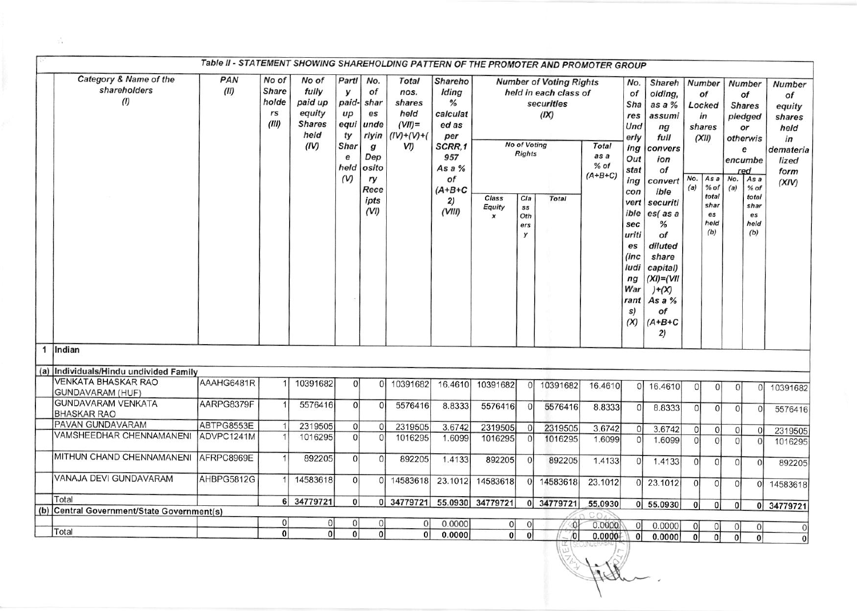|              | Table II - STATEMENT SHOWING SHAREHOLDING PATTERN OF THE PROMOTER AND PROMOTER GROUP |             |                                               |                                                                      |                                                                                     |                                                                                                            |                                                                              |                                                                                                                 |                  |                                                                      |                                                                                        |                                             |                                                                                                                                                                         |                                                                                                                                                                                                                                          |                |                                                                                                                |                |                                                                                                                                                  |                                                                                              |
|--------------|--------------------------------------------------------------------------------------|-------------|-----------------------------------------------|----------------------------------------------------------------------|-------------------------------------------------------------------------------------|------------------------------------------------------------------------------------------------------------|------------------------------------------------------------------------------|-----------------------------------------------------------------------------------------------------------------|------------------|----------------------------------------------------------------------|----------------------------------------------------------------------------------------|---------------------------------------------|-------------------------------------------------------------------------------------------------------------------------------------------------------------------------|------------------------------------------------------------------------------------------------------------------------------------------------------------------------------------------------------------------------------------------|----------------|----------------------------------------------------------------------------------------------------------------|----------------|--------------------------------------------------------------------------------------------------------------------------------------------------|----------------------------------------------------------------------------------------------|
|              | Category & Name of the<br>shareholders<br>(1)                                        | PAN<br>(II) | No of<br><b>Share</b><br>holde<br>rs<br>(III) | No of<br>fully<br>paid up<br>equity<br><b>Shares</b><br>held<br>(IV) | Partl<br>$\mathbf{v}$<br>paid-<br>$\mu$<br>equi<br>ty<br>Shar<br>e<br>held<br>$(V)$ | No.<br>of<br>shar<br>es<br>unde<br>rlyin<br>$\boldsymbol{g}$<br>Dep<br>osito<br>ry<br>Rece<br>ipts<br>(VI) | <b>Total</b><br>nos.<br>shares<br>held<br>$(VII)$ =<br>$(IV)+(V)+(V)$<br>VI) | Shareho<br>Iding<br>%<br>calculat<br>ed as<br>per<br>SCRR,1<br>957<br>As a %<br>of<br>$(A+B+C)$<br>2)<br>(VIII) | Class<br>Equity  | <b>No of Voting</b><br><b>Rights</b><br>Cla<br>ss<br>Oth<br>ers<br>y | <b>Number of Voting Rights</b><br>held in each class of<br>securities<br>(IX)<br>Total | <b>Total</b><br>as a<br>$%$ of<br>$(A+B+C)$ | No.<br>of<br>Sha<br>res<br>Und<br>erly<br>ing<br>Out<br>stat<br>ing<br>con<br>vert<br>ible<br>sec<br>uriti<br>es<br>(inc<br>ludi<br>nq<br>War<br>rant<br>s)<br>$\infty$ | Shareh<br>olding,<br>as a $%$<br>assumi<br>ng<br>full<br>convers<br>ion<br>оf<br>convert<br>ible<br>securiti<br>$es$ (as a<br>%<br>of<br>diluted<br>share<br>capital)<br>$(XI) = (VII)$<br>$)+ (X)$<br>As a $%$<br>οf<br>$(A+B+C)$<br>2) | No.<br>(a)     | <b>Number</b><br>of<br>Locked<br>in<br>shares<br>(XII)<br>As a<br>$%$ of<br>total<br>shar<br>es<br>held<br>(b) | No.<br>(a)     | <b>Number</b><br>of<br><b>Shares</b><br>pledged<br>or<br>otherwis<br>е<br>encumbe<br>red<br>As a<br>$%$ of<br>total<br>shar<br>es<br>held<br>(b) | <b>Number</b><br>of<br>equity<br>shares<br>held<br>in<br>demateria<br>lized<br>form<br>(XIV) |
| $\mathbf{1}$ | Indian                                                                               |             |                                               |                                                                      |                                                                                     |                                                                                                            |                                                                              |                                                                                                                 |                  |                                                                      |                                                                                        |                                             |                                                                                                                                                                         |                                                                                                                                                                                                                                          |                |                                                                                                                |                |                                                                                                                                                  |                                                                                              |
|              | (a) Individuals/Hindu undivided Family                                               |             |                                               |                                                                      |                                                                                     |                                                                                                            |                                                                              |                                                                                                                 |                  |                                                                      |                                                                                        |                                             |                                                                                                                                                                         |                                                                                                                                                                                                                                          |                |                                                                                                                |                |                                                                                                                                                  |                                                                                              |
|              | <b>VENKATA BHASKAR RAO</b>                                                           | AAAHG6481R  |                                               | 10391682                                                             | $\mathbf{0}$                                                                        | $\overline{0}$                                                                                             | 10391682                                                                     | 16.4610                                                                                                         | 10391682         |                                                                      |                                                                                        |                                             |                                                                                                                                                                         |                                                                                                                                                                                                                                          |                |                                                                                                                |                |                                                                                                                                                  |                                                                                              |
|              | <b>GUNDAVARAM (HUF)</b>                                                              |             |                                               |                                                                      |                                                                                     |                                                                                                            |                                                                              |                                                                                                                 |                  | $\Omega$                                                             | 10391682                                                                               | 16.4610                                     |                                                                                                                                                                         | 0 16.4610                                                                                                                                                                                                                                | $\Omega$       | $\circ$                                                                                                        | 0              | $\Omega$                                                                                                                                         | 10391682                                                                                     |
|              | <b>GUNDAVARAM VENKATA</b><br><b>BHASKAR RAO</b>                                      | AARPG8379F  |                                               | 5576416                                                              | $\Omega$                                                                            | $\Omega$                                                                                                   | 5576416                                                                      | 8.8333                                                                                                          | 5576416          | $\Omega$                                                             | 5576416                                                                                | 8.8333                                      | $\Omega$                                                                                                                                                                | 8.8333                                                                                                                                                                                                                                   | $\Omega$       | $\Omega$                                                                                                       | $\Omega$       | $\Omega$                                                                                                                                         | 5576416                                                                                      |
|              | PAVAN GUNDAVARAM                                                                     | ABTPG8553E  |                                               | 2319505                                                              | $\Omega$                                                                            | $\overline{0}$                                                                                             | 2319505                                                                      | 3.6742                                                                                                          | 2319505          | $\overline{0}$                                                       | 2319505                                                                                | 3.6742                                      | $\Omega$                                                                                                                                                                | 3.6742                                                                                                                                                                                                                                   | 0              | $\Omega$                                                                                                       | <sup>0</sup>   | $\mathbf{0}$                                                                                                                                     | 2319505                                                                                      |
|              | VAMSHEEDHAR CHENNAMANENI                                                             | ADVPC1241M  |                                               | 1016295                                                              | $\Omega$                                                                            | $\Omega$                                                                                                   | 1016295                                                                      | 1.6099                                                                                                          | 1016295          | $\Omega$                                                             | 1016295                                                                                | 1.6099                                      | $\Omega$                                                                                                                                                                | 1.6099                                                                                                                                                                                                                                   | $\Omega$       | 0                                                                                                              | $\Omega$       | $\Omega$                                                                                                                                         | 1016295                                                                                      |
|              | MITHUN CHAND CHENNAMANENI                                                            | AFRPC8969E  |                                               | 892205                                                               | $\Omega$                                                                            | $\overline{0}$                                                                                             | 892205                                                                       | 1.4133                                                                                                          | 892205           | $\Omega$                                                             | 892205                                                                                 | 1.4133                                      | $\Omega$                                                                                                                                                                | 1.4133                                                                                                                                                                                                                                   | $\Omega$       | $\Omega$                                                                                                       | $\Omega$       | $\Omega$                                                                                                                                         | 892205                                                                                       |
|              | VANAJA DEVI GUNDAVARAM                                                               | AHBPG5812G  |                                               | 14583618                                                             | $\Omega$                                                                            |                                                                                                            | 0 14583618                                                                   | 23.1012                                                                                                         | 14583618         | $\Omega$                                                             | 14583618                                                                               | 23.1012                                     | $\Omega$                                                                                                                                                                | 23.1012                                                                                                                                                                                                                                  | 0              | $\Omega$                                                                                                       | $\Omega$       | $\Omega$                                                                                                                                         | 14583618                                                                                     |
|              | Total                                                                                |             |                                               | 6 34779721                                                           | $\overline{0}$                                                                      |                                                                                                            | 0 34779721                                                                   |                                                                                                                 | 55.0930 34779721 |                                                                      | 0 34779721                                                                             | 55.0930                                     |                                                                                                                                                                         | $0$ 55.0930                                                                                                                                                                                                                              | 0 <sup>1</sup> | 0                                                                                                              | 0 <sup>1</sup> |                                                                                                                                                  |                                                                                              |
|              | (b) Central Government/State Government(s)                                           |             |                                               |                                                                      |                                                                                     |                                                                                                            |                                                                              |                                                                                                                 |                  |                                                                      |                                                                                        |                                             |                                                                                                                                                                         |                                                                                                                                                                                                                                          |                |                                                                                                                |                |                                                                                                                                                  | 0 34779721                                                                                   |
|              |                                                                                      |             | 0                                             | 0                                                                    | 0                                                                                   | $\Omega$                                                                                                   | $\Omega$                                                                     | 0.0000                                                                                                          | 0                |                                                                      | -O.                                                                                    | 0.0000                                      | $\Omega$                                                                                                                                                                | 0.0000                                                                                                                                                                                                                                   | 0              | $\Omega$                                                                                                       | $\Omega$       | $\Omega$                                                                                                                                         |                                                                                              |
|              | Total                                                                                |             | $\overline{0}$                                | $\Omega$                                                             | $\bf{0}$                                                                            | $\overline{0}$                                                                                             | $\overline{0}$                                                               | 0.0000                                                                                                          | $\overline{0}$   | $\Omega$                                                             | $\alpha$                                                                               | 0.0000                                      | $\Omega$                                                                                                                                                                | 0.0000                                                                                                                                                                                                                                   | $\overline{0}$ | $\Omega$                                                                                                       | $\Omega$       | $\Omega$                                                                                                                                         | $\overline{0}$<br>$\Omega$                                                                   |
|              |                                                                                      |             |                                               |                                                                      |                                                                                     |                                                                                                            |                                                                              |                                                                                                                 |                  |                                                                      |                                                                                        |                                             |                                                                                                                                                                         |                                                                                                                                                                                                                                          |                |                                                                                                                |                |                                                                                                                                                  |                                                                                              |

 $\frac{\pi}{2\sqrt{2}}$  .

Jesse